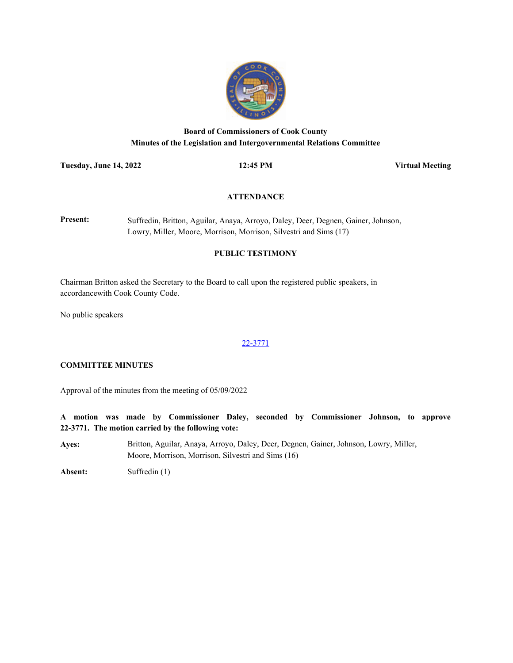

# **Board of Commissioners of Cook County Minutes of the Legislation and Intergovernmental Relations Committee**

**Tuesday, June 14, 2022 12:45 PM Virtual Meeting**

# **ATTENDANCE**

**Present:** Suffredin, Britton, Aguilar, Anaya, Arroyo, Daley, Deer, Degnen, Gainer, Johnson, Lowry, Miller, Moore, Morrison, Morrison, Silvestri and Sims (17)

# **PUBLIC TESTIMONY**

Chairman Britton asked the Secretary to the Board to call upon the registered public speakers, in accordancewith Cook County Code.

No public speakers

# [22-3771](http://cook-county.legistar.com/gateway.aspx?m=l&id=/matter.aspx?key=61917)

#### **COMMITTEE MINUTES**

Approval of the minutes from the meeting of 05/09/2022

**A motion was made by Commissioner Daley, seconded by Commissioner Johnson, to approve 22-3771. The motion carried by the following vote:**

**Ayes:** Britton, Aguilar, Anaya, Arroyo, Daley, Deer, Degnen, Gainer, Johnson, Lowry, Miller, Moore, Morrison, Morrison, Silvestri and Sims (16)

**Absent:** Suffredin (1)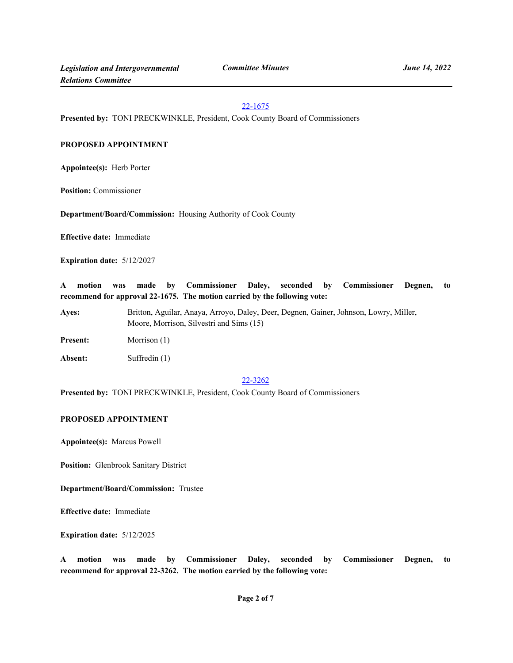#### [22-1675](http://cook-county.legistar.com/gateway.aspx?m=l&id=/matter.aspx?key=59977)

**Presented by:** TONI PRECKWINKLE, President, Cook County Board of Commissioners

# **PROPOSED APPOINTMENT**

**Appointee(s):** Herb Porter

**Position:** Commissioner

**Department/Board/Commission:** Housing Authority of Cook County

**Effective date:** Immediate

**Expiration date:** 5/12/2027

**A motion was made by Commissioner Daley, seconded by Commissioner Degnen, to recommend for approval 22-1675. The motion carried by the following vote:**

**Ayes:** Britton, Aguilar, Anaya, Arroyo, Daley, Deer, Degnen, Gainer, Johnson, Lowry, Miller, Moore, Morrison, Silvestri and Sims (15)

Present: Morrison (1)

**Absent:** Suffredin (1)

#### [22-3262](http://cook-county.legistar.com/gateway.aspx?m=l&id=/matter.aspx?key=61416)

**Presented by:** TONI PRECKWINKLE, President, Cook County Board of Commissioners

# **PROPOSED APPOINTMENT**

**Appointee(s):** Marcus Powell

**Position:** Glenbrook Sanitary District

**Department/Board/Commission:** Trustee

**Effective date:** Immediate

**Expiration date:** 5/12/2025

**A motion was made by Commissioner Daley, seconded by Commissioner Degnen, to recommend for approval 22-3262. The motion carried by the following vote:**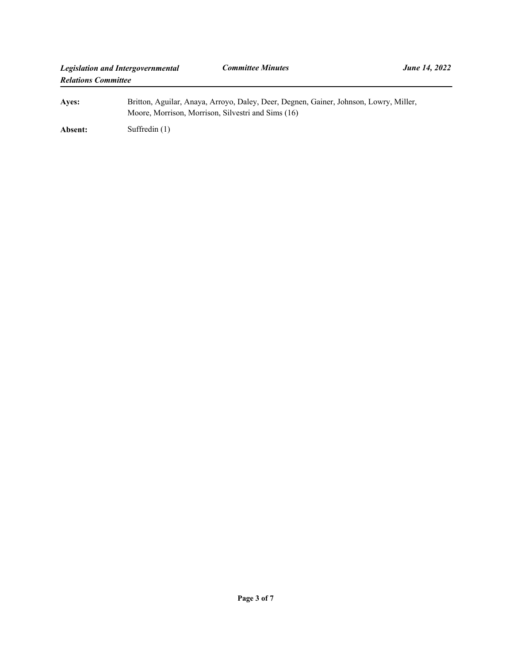| Aves:   | Britton, Aguilar, Anaya, Arroyo, Daley, Deer, Degnen, Gainer, Johnson, Lowry, Miller,<br>Moore, Morrison, Morrison, Silvestri and Sims (16) |
|---------|---------------------------------------------------------------------------------------------------------------------------------------------|
| Absent: | Suffredin $(1)$                                                                                                                             |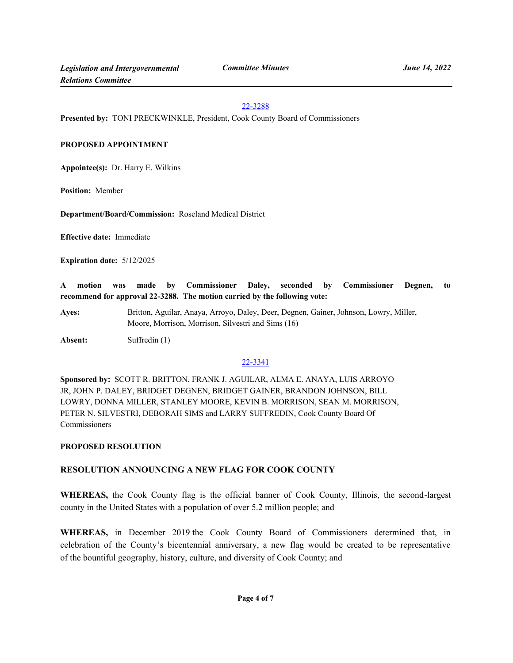#### [22-3288](http://cook-county.legistar.com/gateway.aspx?m=l&id=/matter.aspx?key=61442)

**Presented by:** TONI PRECKWINKLE, President, Cook County Board of Commissioners

#### **PROPOSED APPOINTMENT**

**Appointee(s):** Dr. Harry E. Wilkins

**Position:** Member

**Department/Board/Commission:** Roseland Medical District

**Effective date:** Immediate

**Expiration date:** 5/12/2025

**A motion was made by Commissioner Daley, seconded by Commissioner Degnen, to recommend for approval 22-3288. The motion carried by the following vote:**

**Ayes:** Britton, Aguilar, Anaya, Arroyo, Daley, Deer, Degnen, Gainer, Johnson, Lowry, Miller, Moore, Morrison, Morrison, Silvestri and Sims (16)

**Absent:** Suffredin (1)

# [22-3341](http://cook-county.legistar.com/gateway.aspx?m=l&id=/matter.aspx?key=61483)

**Sponsored by:** SCOTT R. BRITTON, FRANK J. AGUILAR, ALMA E. ANAYA, LUIS ARROYO JR, JOHN P. DALEY, BRIDGET DEGNEN, BRIDGET GAINER, BRANDON JOHNSON, BILL LOWRY, DONNA MILLER, STANLEY MOORE, KEVIN B. MORRISON, SEAN M. MORRISON, PETER N. SILVESTRI, DEBORAH SIMS and LARRY SUFFREDIN, Cook County Board Of Commissioners

#### **PROPOSED RESOLUTION**

# **RESOLUTION ANNOUNCING A NEW FLAG FOR COOK COUNTY**

**WHEREAS,** the Cook County flag is the official banner of Cook County, Illinois, the second-largest county in the United States with a population of over 5.2 million people; and

**WHEREAS,** in December 2019 the Cook County Board of Commissioners determined that, in celebration of the County's bicentennial anniversary, a new flag would be created to be representative of the bountiful geography, history, culture, and diversity of Cook County; and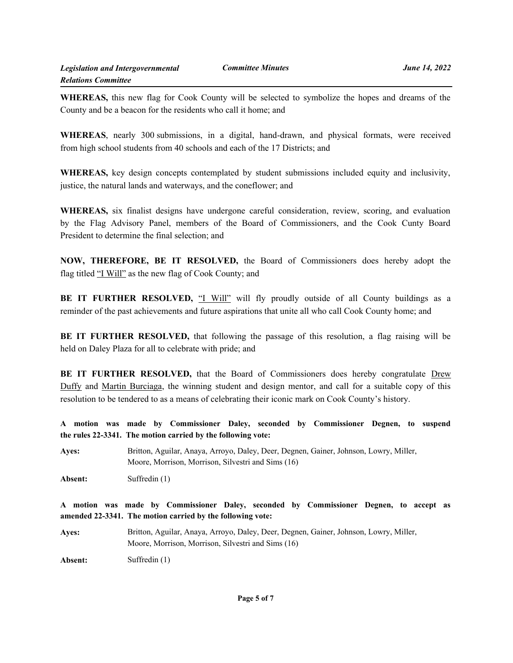**WHEREAS,** this new flag for Cook County will be selected to symbolize the hopes and dreams of the County and be a beacon for the residents who call it home; and

**WHEREAS**, nearly 300 submissions, in a digital, hand-drawn, and physical formats, were received from high school students from 40 schools and each of the 17 Districts; and

**WHEREAS,** key design concepts contemplated by student submissions included equity and inclusivity, justice, the natural lands and waterways, and the coneflower; and

**WHEREAS,** six finalist designs have undergone careful consideration, review, scoring, and evaluation by the Flag Advisory Panel, members of the Board of Commissioners, and the Cook Cunty Board President to determine the final selection; and

**NOW, THEREFORE, BE IT RESOLVED,** the Board of Commissioners does hereby adopt the flag titled "I Will" as the new flag of Cook County; and

**BE IT FURTHER RESOLVED, "I Will"** will fly proudly outside of all County buildings as a reminder of the past achievements and future aspirations that unite all who call Cook County home; and

**BE IT FURTHER RESOLVED,** that following the passage of this resolution, a flag raising will be held on Daley Plaza for all to celebrate with pride; and

**BE IT FURTHER RESOLVED,** that the Board of Commissioners does hereby congratulate Drew Duffy and Martin Burciaga, the winning student and design mentor, and call for a suitable copy of this resolution to be tendered to as a means of celebrating their iconic mark on Cook County's history.

**A motion was made by Commissioner Daley, seconded by Commissioner Degnen, to suspend the rules 22-3341. The motion carried by the following vote:**

**Ayes:** Britton, Aguilar, Anaya, Arroyo, Daley, Deer, Degnen, Gainer, Johnson, Lowry, Miller, Moore, Morrison, Morrison, Silvestri and Sims (16)

**Absent:** Suffredin (1)

**A motion was made by Commissioner Daley, seconded by Commissioner Degnen, to accept as amended 22-3341. The motion carried by the following vote:**

**Ayes:** Britton, Aguilar, Anaya, Arroyo, Daley, Deer, Degnen, Gainer, Johnson, Lowry, Miller, Moore, Morrison, Morrison, Silvestri and Sims (16)

**Absent:** Suffredin (1)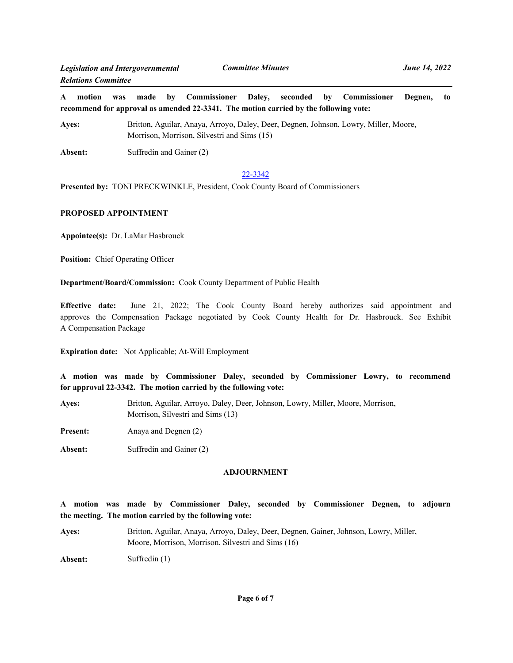**A motion was made by Commissioner Daley, seconded by Commissioner Degnen, to recommend for approval as amended 22-3341. The motion carried by the following vote:**

**Ayes:** Britton, Aguilar, Anaya, Arroyo, Daley, Deer, Degnen, Johnson, Lowry, Miller, Moore, Morrison, Morrison, Silvestri and Sims (15)

Absent: Suffredin and Gainer (2)

#### [22-3342](http://cook-county.legistar.com/gateway.aspx?m=l&id=/matter.aspx?key=61484)

**Presented by:** TONI PRECKWINKLE, President, Cook County Board of Commissioners

# **PROPOSED APPOINTMENT**

**Appointee(s):** Dr. LaMar Hasbrouck

**Position:** Chief Operating Officer

**Department/Board/Commission:** Cook County Department of Public Health

**Effective date:** June 21, 2022; The Cook County Board hereby authorizes said appointment and approves the Compensation Package negotiated by Cook County Health for Dr. Hasbrouck. See Exhibit A Compensation Package

**Expiration date:** Not Applicable; At-Will Employment

**A motion was made by Commissioner Daley, seconded by Commissioner Lowry, to recommend for approval 22-3342. The motion carried by the following vote:**

| <b>Aves:</b> | Britton, Aguilar, Arroyo, Daley, Deer, Johnson, Lowry, Miller, Moore, Morrison,<br>Morrison, Silvestri and Sims (13) |
|--------------|----------------------------------------------------------------------------------------------------------------------|
| Present:     | Anaya and Degnen (2)                                                                                                 |

**Absent:** Suffredin and Gainer (2)

#### **ADJOURNMENT**

**A motion was made by Commissioner Daley, seconded by Commissioner Degnen, to adjourn the meeting. The motion carried by the following vote:**

**Ayes:** Britton, Aguilar, Anaya, Arroyo, Daley, Deer, Degnen, Gainer, Johnson, Lowry, Miller, Moore, Morrison, Morrison, Silvestri and Sims (16)

**Absent:** Suffredin (1)